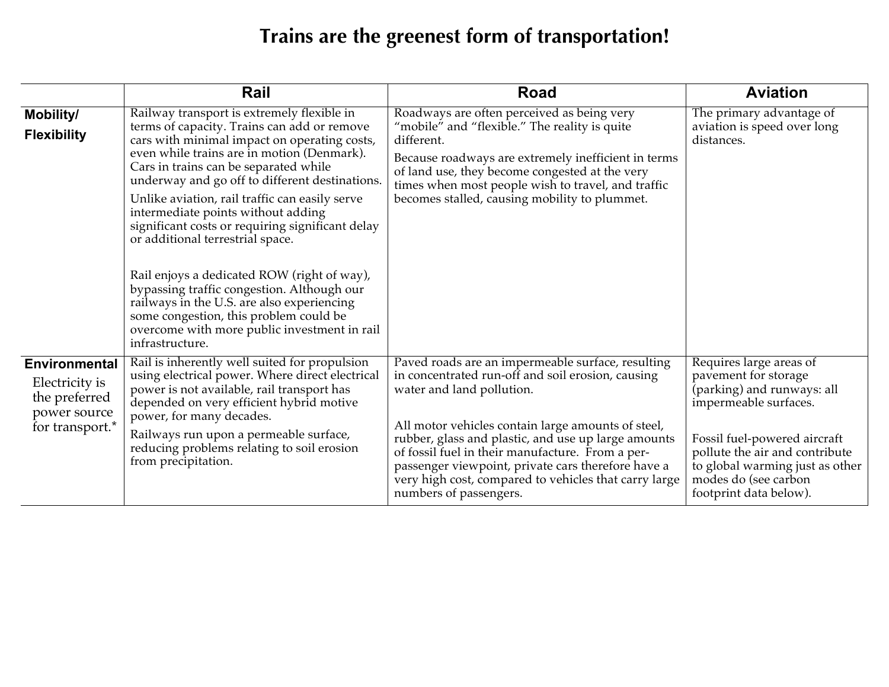## **Trains are the greenest form of transportation!**

|                                                                                            | Rail                                                                                                                                                                                                                                                                                                                                                                                                                                                                                                                                                                                                                                                                                                                       | <b>Road</b>                                                                                                                                                                                                                                                                                                                                                                                                                                   | <b>Aviation</b>                                                                                                                                                                                                                                               |
|--------------------------------------------------------------------------------------------|----------------------------------------------------------------------------------------------------------------------------------------------------------------------------------------------------------------------------------------------------------------------------------------------------------------------------------------------------------------------------------------------------------------------------------------------------------------------------------------------------------------------------------------------------------------------------------------------------------------------------------------------------------------------------------------------------------------------------|-----------------------------------------------------------------------------------------------------------------------------------------------------------------------------------------------------------------------------------------------------------------------------------------------------------------------------------------------------------------------------------------------------------------------------------------------|---------------------------------------------------------------------------------------------------------------------------------------------------------------------------------------------------------------------------------------------------------------|
| Mobility/<br><b>Flexibility</b>                                                            | Railway transport is extremely flexible in<br>terms of capacity. Trains can add or remove<br>cars with minimal impact on operating costs,<br>even while trains are in motion (Denmark).<br>Cars in trains can be separated while<br>underway and go off to different destinations.<br>Unlike aviation, rail traffic can easily serve<br>intermediate points without adding<br>significant costs or requiring significant delay<br>or additional terrestrial space.<br>Rail enjoys a dedicated ROW (right of way),<br>bypassing traffic congestion. Although our<br>railways in the U.S. are also experiencing<br>some congestion, this problem could be<br>overcome with more public investment in rail<br>infrastructure. | Roadways are often perceived as being very<br>"mobile" and "flexible." The reality is quite<br>different.<br>Because roadways are extremely inefficient in terms<br>of land use, they become congested at the very<br>times when most people wish to travel, and traffic<br>becomes stalled, causing mobility to plummet.                                                                                                                     | The primary advantage of<br>aviation is speed over long<br>distances.                                                                                                                                                                                         |
| <b>Environmental</b><br>Electricity is<br>the preferred<br>power source<br>for transport.* | Rail is inherently well suited for propulsion<br>using electrical power. Where direct electrical<br>power is not available, rail transport has<br>depended on very efficient hybrid motive<br>power, for many decades.<br>Railways run upon a permeable surface,<br>reducing problems relating to soil erosion<br>from precipitation.                                                                                                                                                                                                                                                                                                                                                                                      | Paved roads are an impermeable surface, resulting<br>in concentrated run-off and soil erosion, causing<br>water and land pollution.<br>All motor vehicles contain large amounts of steel,<br>rubber, glass and plastic, and use up large amounts<br>of fossil fuel in their manufacture. From a per-<br>passenger viewpoint, private cars therefore have a<br>very high cost, compared to vehicles that carry large<br>numbers of passengers. | Requires large areas of<br>pavement for storage<br>(parking) and runways: all<br>impermeable surfaces.<br>Fossil fuel-powered aircraft<br>pollute the air and contribute<br>to global warming just as other<br>modes do (see carbon<br>footprint data below). |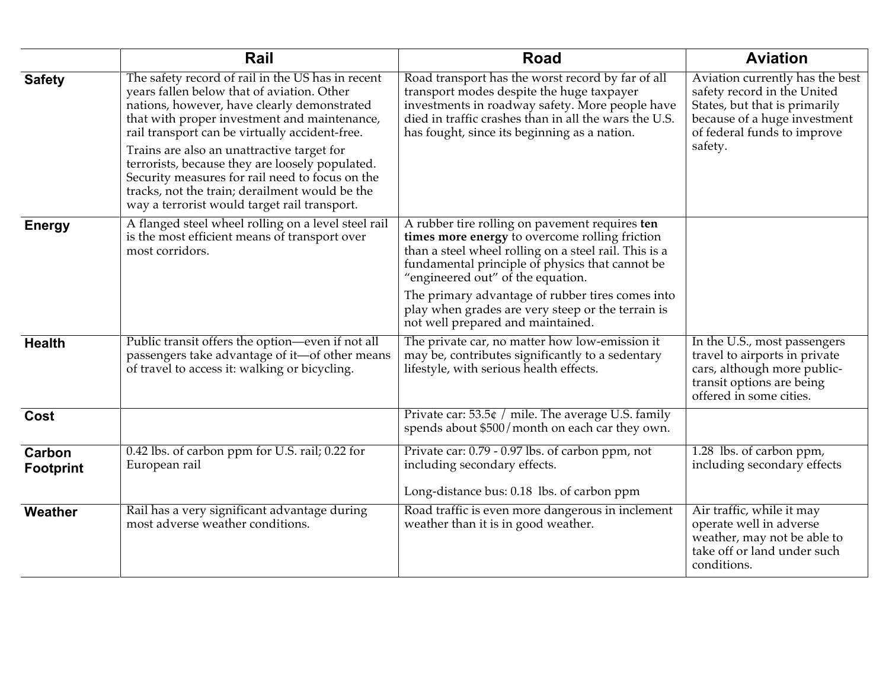|                            | Rail                                                                                                                                                                                                                                                                                           | <b>Road</b>                                                                                                                                                                                                                                                | <b>Aviation</b>                                                                                                                                                           |
|----------------------------|------------------------------------------------------------------------------------------------------------------------------------------------------------------------------------------------------------------------------------------------------------------------------------------------|------------------------------------------------------------------------------------------------------------------------------------------------------------------------------------------------------------------------------------------------------------|---------------------------------------------------------------------------------------------------------------------------------------------------------------------------|
| <b>Safety</b>              | The safety record of rail in the US has in recent<br>years fallen below that of aviation. Other<br>nations, however, have clearly demonstrated<br>that with proper investment and maintenance,<br>rail transport can be virtually accident-free.<br>Trains are also an unattractive target for | Road transport has the worst record by far of all<br>transport modes despite the huge taxpayer<br>investments in roadway safety. More people have<br>died in traffic crashes than in all the wars the U.S.<br>has fought, since its beginning as a nation. | Aviation currently has the best<br>safety record in the United<br>States, but that is primarily<br>because of a huge investment<br>of federal funds to improve<br>safety. |
|                            | terrorists, because they are loosely populated.<br>Security measures for rail need to focus on the<br>tracks, not the train; derailment would be the<br>way a terrorist would target rail transport.                                                                                           |                                                                                                                                                                                                                                                            |                                                                                                                                                                           |
| <b>Energy</b>              | A flanged steel wheel rolling on a level steel rail<br>is the most efficient means of transport over<br>most corridors.                                                                                                                                                                        | A rubber tire rolling on pavement requires ten<br>times more energy to overcome rolling friction<br>than a steel wheel rolling on a steel rail. This is a<br>fundamental principle of physics that cannot be<br>"engineered out" of the equation.          |                                                                                                                                                                           |
|                            |                                                                                                                                                                                                                                                                                                | The primary advantage of rubber tires comes into<br>play when grades are very steep or the terrain is<br>not well prepared and maintained.                                                                                                                 |                                                                                                                                                                           |
| <b>Health</b>              | Public transit offers the option-even if not all<br>passengers take advantage of it-of other means<br>of travel to access it: walking or bicycling.                                                                                                                                            | The private car, no matter how low-emission it<br>may be, contributes significantly to a sedentary<br>lifestyle, with serious health effects.                                                                                                              | In the U.S., most passengers<br>travel to airports in private<br>cars, although more public-<br>transit options are being<br>offered in some cities.                      |
| Cost                       |                                                                                                                                                                                                                                                                                                | Private car: 53.5¢ / mile. The average U.S. family<br>spends about \$500/month on each car they own.                                                                                                                                                       |                                                                                                                                                                           |
| Carbon<br><b>Footprint</b> | 0.42 lbs. of carbon ppm for U.S. rail; 0.22 for<br>European rail                                                                                                                                                                                                                               | Private car: 0.79 - 0.97 lbs. of carbon ppm, not<br>including secondary effects.<br>Long-distance bus: 0.18 lbs. of carbon ppm                                                                                                                             | 1.28 lbs. of carbon ppm,<br>including secondary effects                                                                                                                   |
| Weather                    | Rail has a very significant advantage during<br>most adverse weather conditions.                                                                                                                                                                                                               | Road traffic is even more dangerous in inclement<br>weather than it is in good weather.                                                                                                                                                                    | Air traffic, while it may<br>operate well in adverse<br>weather, may not be able to<br>take off or land under such<br>conditions.                                         |